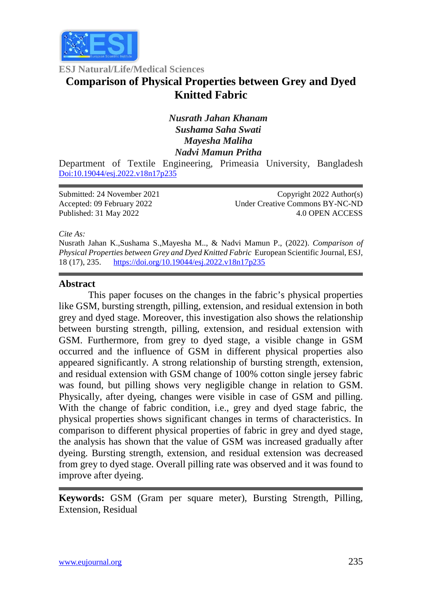

**ESJ Natural/Life/Medical Sciences**

# **Comparison of Physical Properties between Grey and Dyed Knitted Fabric**

## *Nusrath Jahan Khanam Sushama Saha Swati Mayesha Maliha Nadvi Mamun Pritha*

Department of Textile Engineering, Primeasia University, Bangladesh [Doi:10.19044/esj.2022.v18n17p235](https://doi.org/10.19044/esj.2021.v17n29p1)

| Submitted: 24 November 2021 | Copyright $2022$ Author(s)      |
|-----------------------------|---------------------------------|
| Accepted: 09 February 2022  | Under Creative Commons BY-NC-ND |
| Published: 31 May 2022      | 4.0 OPEN ACCESS                 |

*Cite As:*

Nusrath Jahan K.,Sushama S.,Mayesha M.., & Nadvi Mamun P., (2022). *Comparison of Physical Properties between Grey and Dyed Knitted Fabric* European Scientific Journal, ESJ, 18 (17), 235. <https://doi.org/10.19044/esj.2022.v18n17p235>

#### **Abstract**

This paper focuses on the changes in the fabric's physical properties like GSM, bursting strength, pilling, extension, and residual extension in both grey and dyed stage. Moreover, this investigation also shows the relationship between bursting strength, pilling, extension, and residual extension with GSM. Furthermore, from grey to dyed stage, a visible change in GSM occurred and the influence of GSM in different physical properties also appeared significantly. A strong relationship of bursting strength, extension, and residual extension with GSM change of 100% cotton single jersey fabric was found, but pilling shows very negligible change in relation to GSM. Physically, after dyeing, changes were visible in case of GSM and pilling. With the change of fabric condition, i.e., grey and dyed stage fabric, the physical properties shows significant changes in terms of characteristics. In comparison to different physical properties of fabric in grey and dyed stage, the analysis has shown that the value of GSM was increased gradually after dyeing. Bursting strength, extension, and residual extension was decreased from grey to dyed stage. Overall pilling rate was observed and it was found to improve after dyeing.

**Keywords:** GSM (Gram per square meter), Bursting Strength, Pilling, Extension, Residual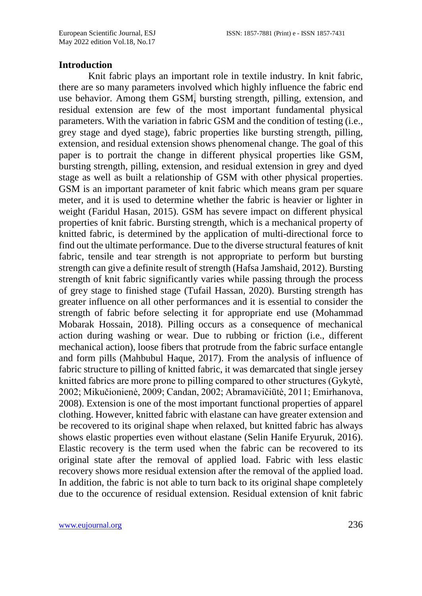#### **Introduction**

Knit fabric plays an important role in textile industry. In knit fabric, there are so many parameters involved which highly influence the fabric end use behavior. Among them GSM, bursting strength, pilling, extension, and residual extension are few of the most important fundamental physical parameters. With the variation in fabric GSM and the condition of testing (i.e., grey stage and dyed stage), fabric properties like bursting strength, pilling, extension, and residual extension shows phenomenal change. The goal of this paper is to portrait the change in different physical properties like GSM, bursting strength, pilling, extension, and residual extension in grey and dyed stage as well as built a relationship of GSM with other physical properties. GSM is an important parameter of knit fabric which means gram per square meter, and it is used to determine whether the fabric is heavier or lighter in weight (Faridul Hasan, 2015). GSM has severe impact on different physical properties of knit fabric. Bursting strength, which is a mechanical property of knitted fabric, is determined by the application of multi-directional force to find out the ultimate performance. Due to the diverse structural features of knit fabric, tensile and tear strength is not appropriate to perform but bursting strength can give a definite result of strength (Hafsa Jamshaid, 2012). Bursting strength of knit fabric significantly varies while passing through the process of grey stage to finished stage (Tufail Hassan, 2020). Bursting strength has greater influence on all other performances and it is essential to consider the strength of fabric before selecting it for appropriate end use (Mohammad Mobarak Hossain, 2018). Pilling occurs as a consequence of mechanical action during washing or wear. Due to rubbing or friction (i.e., different mechanical action), loose fibers that protrude from the fabric surface entangle and form pills (Mahbubul Haque, 2017). From the analysis of influence of fabric structure to pilling of knitted fabric, it was demarcated that single jersey knitted fabrics are more prone to pilling compared to other structures (Gykytė, 2002; Mikučionienė, 2009; Candan, 2002; Abramavičiūtė, 2011; Emirhanova, 2008). Extension is one of the most important functional properties of apparel clothing. However, knitted fabric with elastane can have greater extension and be recovered to its original shape when relaxed, but knitted fabric has always shows elastic properties even without elastane (Selin Hanife Eryuruk, 2016). Elastic recovery is the term used when the fabric can be recovered to its original state after the removal of applied load. Fabric with less elastic recovery shows more residual extension after the removal of the applied load. In addition, the fabric is not able to turn back to its original shape completely due to the occurence of residual extension. Residual extension of knit fabric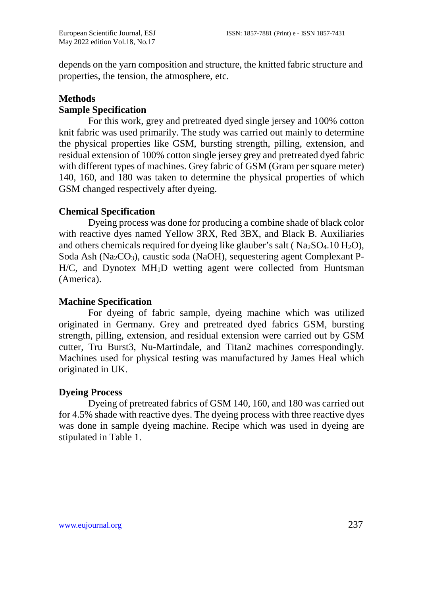depends on the yarn composition and structure, the knitted fabric structure and properties, the tension, the atmosphere, etc.

## **Methods**

### **Sample Specification**

For this work, grey and pretreated dyed single jersey and 100% cotton knit fabric was used primarily. The study was carried out mainly to determine the physical properties like GSM, bursting strength, pilling, extension, and residual extension of 100% cotton single jersey grey and pretreated dyed fabric with different types of machines. Grey fabric of GSM (Gram per square meter) 140, 160, and 180 was taken to determine the physical properties of which GSM changed respectively after dyeing.

## **Chemical Specification**

Dyeing process was done for producing a combine shade of black color with reactive dyes named Yellow 3RX, Red 3BX, and Black B. Auxiliaries and others chemicals required for dyeing like glauber's salt ( $Na<sub>2</sub>SO<sub>4</sub>$ .10 H<sub>2</sub>O), Soda Ash (Na2CO3), caustic soda (NaOH), sequestering agent Complexant P-H/C, and Dynotex MH<sub>1</sub>D wetting agent were collected from Huntsman (America).

## **Machine Specification**

For dyeing of fabric sample, dyeing machine which was utilized originated in Germany. Grey and pretreated dyed fabrics GSM, bursting strength, pilling, extension, and residual extension were carried out by GSM cutter, Tru Burst3, Nu-Martindale, and Titan2 machines correspondingly. Machines used for physical testing was manufactured by James Heal which originated in UK.

## **Dyeing Process**

Dyeing of pretreated fabrics of GSM 140, 160, and 180 was carried out for 4.5% shade with reactive dyes. The dyeing process with three reactive dyes was done in sample dyeing machine. Recipe which was used in dyeing are stipulated in Table 1.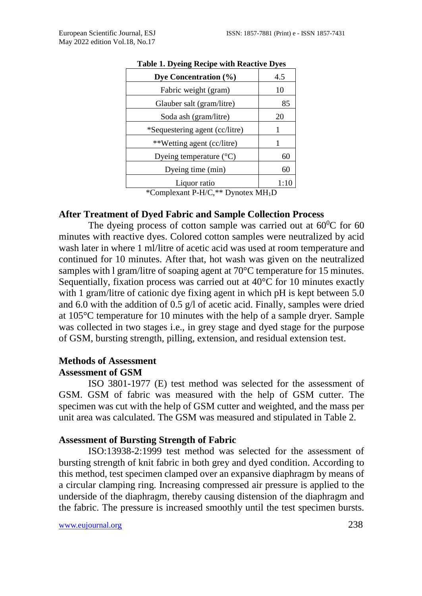| Dye Concentration (%)                                                                                                                                                                                                                                                                                                                                                                                         | 4.5  |
|---------------------------------------------------------------------------------------------------------------------------------------------------------------------------------------------------------------------------------------------------------------------------------------------------------------------------------------------------------------------------------------------------------------|------|
| Fabric weight (gram)                                                                                                                                                                                                                                                                                                                                                                                          | 10   |
| Glauber salt (gram/litre)                                                                                                                                                                                                                                                                                                                                                                                     | 85   |
| Soda ash (gram/litre)                                                                                                                                                                                                                                                                                                                                                                                         | 20   |
| *Sequestering agent (cc/litre)                                                                                                                                                                                                                                                                                                                                                                                | 1    |
| **Wetting agent (cc/litre)                                                                                                                                                                                                                                                                                                                                                                                    |      |
| Dyeing temperature $(^{\circ}C)$                                                                                                                                                                                                                                                                                                                                                                              | 60   |
| Dyeing time (min)                                                                                                                                                                                                                                                                                                                                                                                             | 60   |
| Liquor ratio                                                                                                                                                                                                                                                                                                                                                                                                  | 1:10 |
| $\mathcal{L}_{\text{C}}$ $\mathcal{L}_{\text{C}}$ $\mathcal{L}_{\text{C}}$ $\mathcal{L}_{\text{C}}$ $\mathcal{L}_{\text{C}}$ $\mathcal{L}_{\text{C}}$ $\mathcal{L}_{\text{C}}$ $\mathcal{L}_{\text{C}}$ $\mathcal{L}_{\text{C}}$ $\mathcal{L}_{\text{C}}$ $\mathcal{L}_{\text{C}}$ $\mathcal{L}_{\text{C}}$ $\mathcal{L}_{\text{C}}$ $\mathcal{L}_{\text{C}}$ $\mathcal{L}_{\text{C}}$ $\mathcal{L}_{\text{C$ |      |

#### **Table 1. Dyeing Recipe with Reactive Dyes**

\*Complexant P-H/C,\*\* Dynotex MH1D

#### **After Treatment of Dyed Fabric and Sample Collection Process**

The dyeing process of cotton sample was carried out at  $60^{\circ}$ C for 60 minutes with reactive dyes. Colored cotton samples were neutralized by acid wash later in where 1 ml/litre of acetic acid was used at room temperature and continued for 10 minutes. After that, hot wash was given on the neutralized samples with l gram/litre of soaping agent at 70°C temperature for 15 minutes. Sequentially, fixation process was carried out at 40°C for 10 minutes exactly with 1 gram/litre of cationic dye fixing agent in which pH is kept between 5.0 and 6.0 with the addition of 0.5 g/l of acetic acid. Finally, samples were dried at 105°C temperature for 10 minutes with the help of a sample dryer. Sample was collected in two stages i.e., in grey stage and dyed stage for the purpose of GSM, bursting strength, pilling, extension, and residual extension test.

#### **Methods of Assessment Assessment of GSM**

ISO 3801-1977 (E) test method was selected for the assessment of GSM. GSM of fabric was measured with the help of GSM cutter. The specimen was cut with the help of GSM cutter and weighted, and the mass per unit area was calculated. The GSM was measured and stipulated in Table 2.

#### **Assessment of Bursting Strength of Fabric**

ISO:13938-2:1999 test method was selected for the assessment of bursting strength of knit fabric in both grey and dyed condition. According to this method, test specimen clamped over an expansive diaphragm by means of a circular clamping ring. Increasing compressed air pressure is applied to the underside of the diaphragm, thereby causing distension of the diaphragm and the fabric. The pressure is increased smoothly until the test specimen bursts.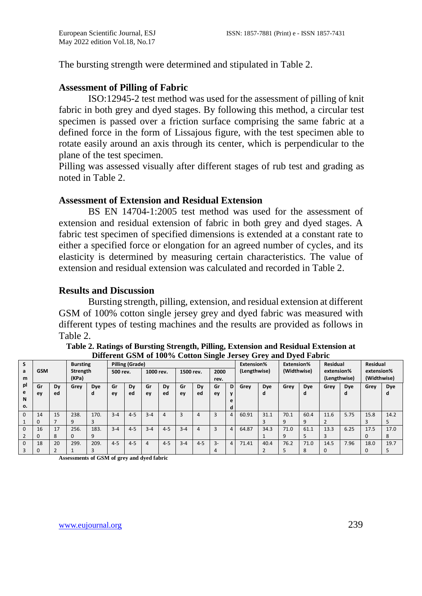The bursting strength were determined and stipulated in Table 2.

## **Assessment of Pilling of Fabric**

ISO:12945-2 test method was used for the assessment of pilling of knit fabric in both grey and dyed stages. By following this method, a circular test specimen is passed over a friction surface comprising the same fabric at a defined force in the form of Lissajous figure, with the test specimen able to rotate easily around an axis through its center, which is perpendicular to the plane of the test specimen.

Pilling was assessed visually after different stages of rub test and grading as noted in Table 2.

#### **Assessment of Extension and Residual Extension**

BS EN 14704-1:2005 test method was used for the assessment of extension and residual extension of fabric in both grey and dyed stages. A fabric test specimen of specified dimensions is extended at a constant rate to either a specified force or elongation for an agreed number of cycles, and its elasticity is determined by measuring certain characteristics. The value of extension and residual extension was calculated and recorded in Table 2.

#### **Results and Discussion**

Bursting strength, pilling, extension, and residual extension at different GSM of 100% cotton single jersey grey and dyed fabric was measured with different types of testing machines and the results are provided as follows in Table 2.

|          | <b>Bursting</b> |    |          | Pilling (Grade) |          |         |           |                |           |         |       | <b>Extension%</b> |              | <b>Extension%</b> |             | Residual     |            | Residual    |              |            |
|----------|-----------------|----|----------|-----------------|----------|---------|-----------|----------------|-----------|---------|-------|-------------------|--------------|-------------------|-------------|--------------|------------|-------------|--------------|------------|
| a        | <b>GSM</b>      |    | Strength |                 | 500 rev. |         | 1000 rev. |                | 1500 rev. |         | 2000  |                   | (Lengthwise) |                   | (Widthwise) |              | extension% |             | extension%   |            |
| m        | (KPa)           |    |          |                 |          |         |           |                |           | rev.    |       |                   |              |                   |             | (Lengthwise) |            | (Widthwise) |              |            |
| pl       | Gr              | Dy | Grey     | Dye             | Gr       | Dy      | Gr        | Dy             | Gr        | Dy      | Gr    | D                 | Grey         | <b>Dye</b>        | Grev        | Dye          | Grev       | <b>Dye</b>  | Grey         | <b>Dye</b> |
| e        | ey              | ed |          | d               | ey       | ed      | ey        | ed             | ey        | ed      | ey    | $\mathbf{v}$      |              | d                 |             | a            |            | α           |              |            |
| N        |                 |    |          |                 |          |         |           |                |           |         |       | e                 |              |                   |             |              |            |             |              |            |
| о.       |                 |    |          |                 |          |         |           |                |           |         |       | d                 |              |                   |             |              |            |             |              |            |
| $\Omega$ | 14              | 15 | 238.     | 170.            | $3 - 4$  | $4 - 5$ | $3 - 4$   | $\overline{a}$ | 3         | 4       | 3     | 4                 | 60.91        | 31.1              | 70.1        | 60.4         | 11.6       | 5.75        | 15.8         | 14.2       |
|          | $\Omega$        |    | 9        | 3               |          |         |           |                |           |         |       |                   |              |                   |             | 9            |            |             | 3            |            |
| $\Omega$ | 16              | 17 | 256.     | 183.            | $3 - 4$  | $4 - 5$ | $3 - 4$   | $4 - 5$        | $3 - 4$   | 4       | 3     | 4                 | 64.87        | 34.3              | 71.0        | 61.1         | 13.3       | 6.25        | 17.5         | 17.0       |
|          | $\Omega$        | 8  | $\Omega$ | 9               |          |         |           |                |           |         |       |                   |              |                   |             |              |            |             | $\Omega$     | 8          |
|          | 18              | 20 | 299.     | 209.            | $4 - 5$  | $4 - 5$ | 4         | $4 - 5$        | $3 - 4$   | $4 - 5$ | $3 -$ | 4                 | 71.41        | 40.4              | 76.2        | 71.0         | 14.5       | 7.96        | 18.0         | 19.7       |
|          |                 |    |          |                 |          |         |           |                |           |         |       |                   |              |                   |             | ጸ            |            |             | <sup>0</sup> |            |

**Table 2. Ratings of Bursting Strength, Pilling, Extension and Residual Extension at Different GSM of 100% Cotton Single Jersey Grey and Dyed Fabric**

**Assessments of GSM of grey and dyed fabric**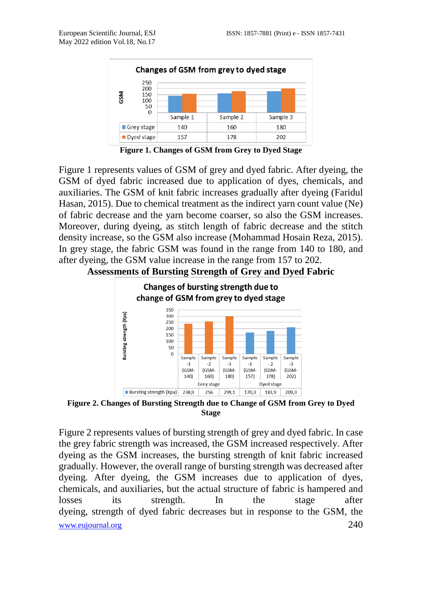

**Figure 1. Changes of GSM from Grey to Dyed Stage**

Figure 1 represents values of GSM of grey and dyed fabric. After dyeing, the GSM of dyed fabric increased due to application of dyes, chemicals, and auxiliaries. The GSM of knit fabric increases gradually after dyeing (Faridul Hasan, 2015). Due to chemical treatment as the indirect yarn count value (Ne) of fabric decrease and the yarn become coarser, so also the GSM increases. Moreover, during dyeing, as stitch length of fabric decrease and the stitch density increase, so the GSM also increase (Mohammad Hosain Reza, 2015). In grey stage, the fabric GSM was found in the range from 140 to 180, and after dyeing, the GSM value increase in the range from 157 to 202.





**Figure 2. Changes of Bursting Strength due to Change of GSM from Grey to Dyed Stage**

[www.eujournal.org](http://www.eujournal.org/) 240 Figure 2 represents values of bursting strength of grey and dyed fabric. In case the grey fabric strength was increased, the GSM increased respectively. After dyeing as the GSM increases, the bursting strength of knit fabric increased gradually. However, the overall range of bursting strength was decreased after dyeing. After dyeing, the GSM increases due to application of dyes, chemicals, and auxiliaries, but the actual structure of fabric is hampered and losses its strength. In the stage after dyeing, strength of dyed fabric decreases but in response to the GSM, the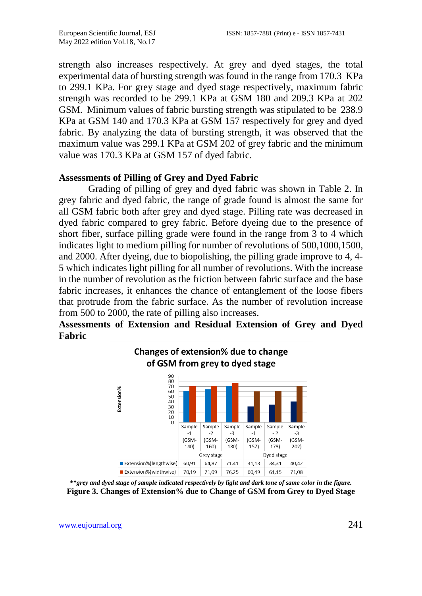strength also increases respectively. At grey and dyed stages, the total experimental data of bursting strength was found in the range from 170.3 KPa to 299.1 KPa. For grey stage and dyed stage respectively, maximum fabric strength was recorded to be 299.1 KPa at GSM 180 and 209.3 KPa at 202 GSM. Minimum values of fabric bursting strength was stipulated to be 238.9 KPa at GSM 140 and 170.3 KPa at GSM 157 respectively for grey and dyed fabric. By analyzing the data of bursting strength, it was observed that the maximum value was 299.1 KPa at GSM 202 of grey fabric and the minimum value was 170.3 KPa at GSM 157 of dyed fabric.

#### **Assessments of Pilling of Grey and Dyed Fabric**

Grading of pilling of grey and dyed fabric was shown in Table 2. In grey fabric and dyed fabric, the range of grade found is almost the same for all GSM fabric both after grey and dyed stage. Pilling rate was decreased in dyed fabric compared to grey fabric. Before dyeing due to the presence of short fiber, surface pilling grade were found in the range from 3 to 4 which indicates light to medium pilling for number of revolutions of 500,1000,1500, and 2000. After dyeing, due to biopolishing, the pilling grade improve to 4, 4- 5 which indicates light pilling for all number of revolutions. With the increase in the number of revolution as the friction between fabric surface and the base fabric increases, it enhances the chance of entanglement of the loose fibers that protrude from the fabric surface. As the number of revolution increase from 500 to 2000, the rate of pilling also increases.

## **Assessments of Extension and Residual Extension of Grey and Dyed Fabric**



**\*\****grey and dyed stage of sample indicated respectively by light and dark tone of same color in the figure.* **Figure 3. Changes of Extension% due to Change of GSM from Grey to Dyed Stage**

[www.eujournal.org](http://www.eujournal.org/) 241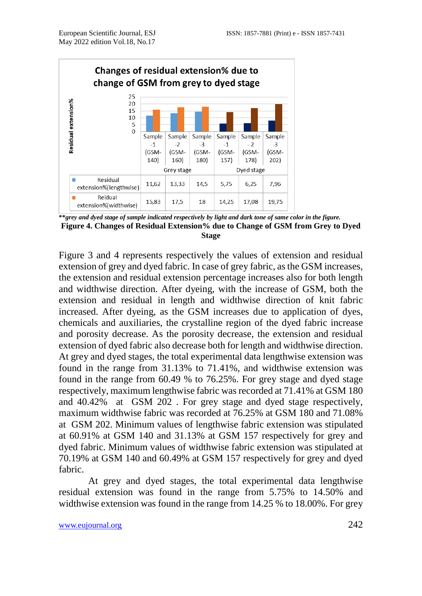

**\*\****grey and dyed stage of sample indicated respectively by light and dark tone of same color in the figure.* **Figure 4. Changes of Residual Extension% due to Change of GSM from Grey to Dyed Stage**

Figure 3 and 4 represents respectively the values of extension and residual extension of grey and dyed fabric. In case of grey fabric, as the GSM increases, the extension and residual extension percentage increases also for both length and widthwise direction. After dyeing, with the increase of GSM, both the extension and residual in length and widthwise direction of knit fabric increased. After dyeing, as the GSM increases due to application of dyes, chemicals and auxiliaries, the crystalline region of the dyed fabric increase and porosity decrease. As the porosity decrease, the extension and residual extension of dyed fabric also decrease both for length and widthwise direction. At grey and dyed stages, the total experimental data lengthwise extension was found in the range from 31.13% to 71.41%, and widthwise extension was found in the range from 60.49 % to 76.25%. For grey stage and dyed stage respectively, maximum lengthwise fabric was recorded at 71.41% at GSM 180 and 40.42% at GSM 202 . For grey stage and dyed stage respectively, maximum widthwise fabric was recorded at 76.25% at GSM 180 and 71.08% at GSM 202. Minimum values of lengthwise fabric extension was stipulated at 60.91% at GSM 140 and 31.13% at GSM 157 respectively for grey and dyed fabric. Minimum values of widthwise fabric extension was stipulated at 70.19% at GSM 140 and 60.49% at GSM 157 respectively for grey and dyed fabric.

At grey and dyed stages, the total experimental data lengthwise residual extension was found in the range from 5.75% to 14.50% and widthwise extension was found in the range from 14.25 % to 18.00%. For grey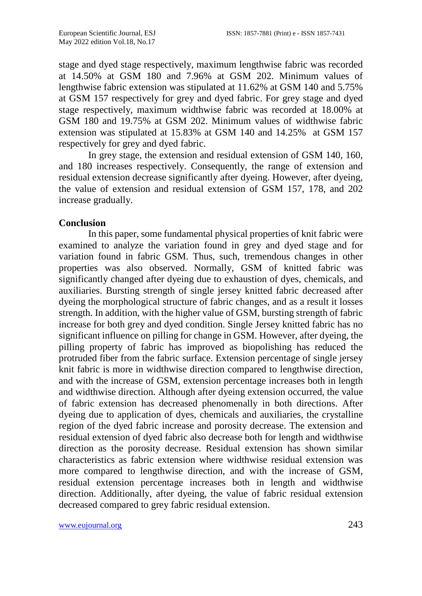stage and dyed stage respectively, maximum lengthwise fabric was recorded at 14.50% at GSM 180 and 7.96% at GSM 202. Minimum values of lengthwise fabric extension was stipulated at 11.62% at GSM 140 and 5.75% at GSM 157 respectively for grey and dyed fabric. For grey stage and dyed stage respectively, maximum widthwise fabric was recorded at 18.00% at GSM 180 and 19.75% at GSM 202. Minimum values of widthwise fabric extension was stipulated at 15.83% at GSM 140 and 14.25% at GSM 157 respectively for grey and dyed fabric.

In grey stage, the extension and residual extension of GSM 140, 160, and 180 increases respectively. Consequently, the range of extension and residual extension decrease significantly after dyeing. However, after dyeing, the value of extension and residual extension of GSM 157, 178, and 202 increase gradually.

#### **Conclusion**

In this paper, some fundamental physical properties of knit fabric were examined to analyze the variation found in grey and dyed stage and for variation found in fabric GSM. Thus, such, tremendous changes in other properties was also observed. Normally, GSM of knitted fabric was significantly changed after dyeing due to exhaustion of dyes, chemicals, and auxiliaries. Bursting strength of single jersey knitted fabric decreased after dyeing the morphological structure of fabric changes, and as a result it losses strength. In addition, with the higher value of GSM, bursting strength of fabric increase for both grey and dyed condition. Single Jersey knitted fabric has no significant influence on pilling for change in GSM. However, after dyeing, the pilling property of fabric has improved as biopolishing has reduced the protruded fiber from the fabric surface. Extension percentage of single jersey knit fabric is more in widthwise direction compared to lengthwise direction, and with the increase of GSM, extension percentage increases both in length and widthwise direction. Although after dyeing extension occurred, the value of fabric extension has decreased phenomenally in both directions. After dyeing due to application of dyes, chemicals and auxiliaries, the crystalline region of the dyed fabric increase and porosity decrease. The extension and residual extension of dyed fabric also decrease both for length and widthwise direction as the porosity decrease. Residual extension has shown similar characteristics as fabric extension where widthwise residual extension was more compared to lengthwise direction, and with the increase of GSM, residual extension percentage increases both in length and widthwise direction. Additionally, after dyeing, the value of fabric residual extension decreased compared to grey fabric residual extension.

[www.eujournal.org](http://www.eujournal.org/) 243